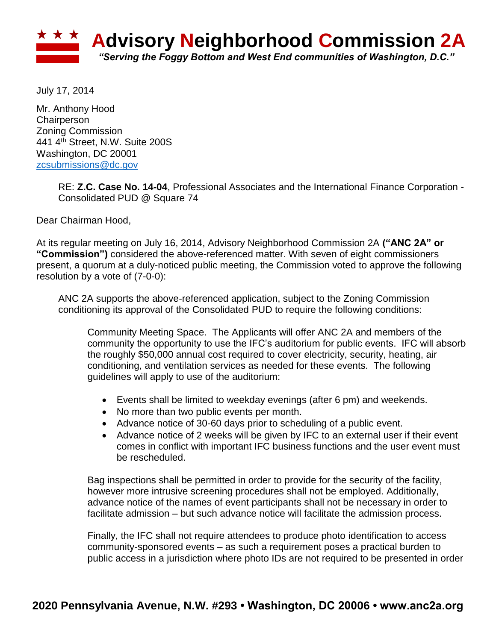

July 17, 2014

Mr. Anthony Hood **Chairperson** Zoning Commission 441 4th Street, N.W. Suite 200S Washington, DC 20001 [zcsubmissions@dc.gov](mailto:zcsubmissions@dc.gov)

> RE: **Z.C. Case No. 14-04**, Professional Associates and the International Finance Corporation - Consolidated PUD @ Square 74

Dear Chairman Hood,

At its regular meeting on July 16, 2014, Advisory Neighborhood Commission 2A **("ANC 2A" or "Commission")** considered the above-referenced matter. With seven of eight commissioners present, a quorum at a duly-noticed public meeting, the Commission voted to approve the following resolution by a vote of (7-0-0):

ANC 2A supports the above-referenced application, subject to the Zoning Commission conditioning its approval of the Consolidated PUD to require the following conditions:

Community Meeting Space. The Applicants will offer ANC 2A and members of the community the opportunity to use the IFC's auditorium for public events. IFC will absorb the roughly \$50,000 annual cost required to cover electricity, security, heating, air conditioning, and ventilation services as needed for these events. The following guidelines will apply to use of the auditorium:

- Events shall be limited to weekday evenings (after 6 pm) and weekends.
- No more than two public events per month.
- Advance notice of 30-60 days prior to scheduling of a public event.
- Advance notice of 2 weeks will be given by IFC to an external user if their event comes in conflict with important IFC business functions and the user event must be rescheduled.

Bag inspections shall be permitted in order to provide for the security of the facility, however more intrusive screening procedures shall not be employed. Additionally, advance notice of the names of event participants shall not be necessary in order to facilitate admission – but such advance notice will facilitate the admission process.

Finally, the IFC shall not require attendees to produce photo identification to access community-sponsored events – as such a requirement poses a practical burden to public access in a jurisdiction where photo IDs are not required to be presented in order